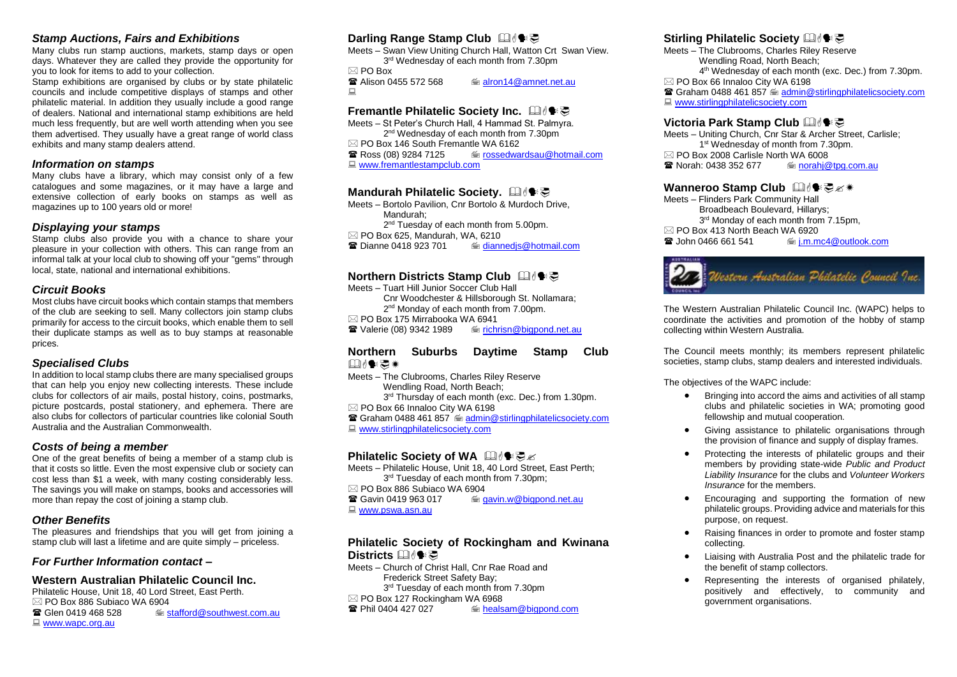## *Stamp Auctions, Fairs and Exhibitions*

Many clubs run stamp auctions, markets, stamp days or open days. Whatever they are called they provide the opportunity for you to look for items to add to your collection.

Stamp exhibitions are organised by clubs or by state philatelic councils and include competitive displays of stamps and other philatelic material. In addition they usually include a good range of dealers. National and international stamp exhibitions are held much less frequently, but are well worth attending when you see them advertised. They usually have a great range of world class exhibits and many stamp dealers attend.

### *Information on stamps*

Many clubs have a library, which may consist only of a few catalogues and some magazines, or it may have a large and extensive collection of early books on stamps as well as magazines up to 100 years old or more!

### *Displaying your stamps*

Stamp clubs also provide you with a chance to share your pleasure in your collection with others. This can range from an informal talk at your local club to showing off your "gems" through local, state, national and international exhibitions.

### *Circuit Books*

Most clubs have circuit books which contain stamps that members of the club are seeking to sell. Many collectors join stamp clubs primarily for access to the circuit books, which enable them to sell their duplicate stamps as well as to buy stamps at reasonable prices.

## *Specialised Clubs*

In addition to local stamp clubs there are many specialised groups that can help you enjoy new collecting interests. These include clubs for collectors of air mails, postal history, coins, postmarks, picture postcards, postal stationery, and ephemera. There are also clubs for collectors of particular countries like colonial South Australia and the Australian Commonwealth.

## *Costs of being a member*

One of the great benefits of being a member of a stamp club is that it costs so little. Even the most expensive club or society can cost less than \$1 a week, with many costing considerably less. The savings you will make on stamps, books and accessories will more than repay the cost of joining a stamp club.

## *Other Benefits*

The pleasures and friendships that you will get from joining a stamp club will last a lifetime and are quite simply – priceless.

### *For Further Information contact –*

## **Western Australian Philatelic Council Inc.**

Philatelic House, Unit 18, 40 Lord Street, East Perth.  $\boxtimes$  PO Box 886 Subiaco WA 6904<br> **B** Glen 0419 468 528 Gillen [stafford@southwest.com.au](mailto:stafford@southwest.com.au) ■ [www.wapc.org.au](http://www.wapc.org.au/)

# **Darling Range Stamp Club 国俚语**

Meets – Swan View Uniting Church Hall, Watton Crt Swan View. 3 rd Wednesday of each month from 7.30pm

 $\boxtimes$  PO Box<br> **R** Alison 0455 572 568 <del>■</del> [alron14@amnet.net.au](mailto:alron14@amnet.net.au)  $\Box$ 

## **Fremantle Philatelic Society Inc.**

Meets – St Peter's Church Hall, 4 Hammad St. Palmyra. 2<sup>nd</sup> Wednesday of each month from 7.30pm  $\boxtimes$  PO Box 146 South Fremantle WA 6162<br> **Ex** Ross (08) 9284 7125 <del>■ [rossedwardsau@hotmail.com](mailto:rossedwardsau@hotmail.com)</del> ■ [www.fremantlestampclub.com](http://www.fremantlestampclub.com/)

# **Mandurah Philatelic Society.** 国心影

Meets – Bortolo Pavilion, Cnr Bortolo & Murdoch Drive, Mandurah; 2<sup>nd</sup> Tuesday of each month from 5.00pm.  $\boxtimes$  PO Box 625, Mandurah, WA, 6210 **■** Dianne 0418 923 701 **b** diannedis@hotmail.com

# **Northern Districts Stamp Club** 国作家

Meets – Tuart Hill Junior Soccer Club Hall Cnr Woodchester & Hillsborough St. Nollamara; 2<sup>nd</sup> Monday of each month from 7.00pm.  $\boxtimes$  PO Box 175 Mirrabooka WA 6941 Valerie (08) 9342 1989 [richrisn@bigpond.net.au](mailto:richrisn@bigpond.net.au)

### **Northern Suburbs Daytime Stamp Club** □心●□案

Meets – The Clubrooms, Charles Riley Reserve Wendling Road, North Beach; 3<sup>rd</sup> Thursday of each month (exc. Dec.) from 1.30pm.  $\boxtimes$  PO Box 66 Innaloo City WA 6198 **■ Graham 0488 461 857 · [admin@stirlingphilatelicsociety.com](mailto:admin@stirlingphilatelicsociety.com)** 

■ [www.stirlingphilatelicsociety.com](http://www.stirlingphilatelicsociety.com/)

## **Philatelic Society of WA** 国作要

Meets – Philatelic House, Unit 18, 40 Lord Street, East Perth; 3 rd Tuesday of each month from 7.30pm;  $\boxtimes$  PO Box 886 Subjaco WA 6904 **■ Gavin 0419 963 017 The angle of angle of avin.w@bigpond.net.au** [www.pswa.asn.au](http://www.pswa.asn.au/)

## **Philatelic Society of Rockingham and Kwinana**  Districts **<b>Dides**</u>

Meets – Church of Christ Hall, Cnr Rae Road and Frederick Street Safety Bay; 3 rd Tuesday of each month from 7.30pm  $\boxtimes$  PO Box 127 Rockingham WA 6968  $\equiv$  [healsam@bigpond.com](mailto:healsam@bigpond.com)

# **Stirling Philatelic Society** 国心学

Meets – The Clubrooms, Charles Riley Reserve Wendling Road, North Beach; 4 th Wednesday of each month (exc. Dec.) from 7.30pm.  $\boxtimes$  PO Box 66 Innaloo City WA 6198 **■ Graham 0488 461 857 · [admin@stirlingphilatelicsociety.com](mailto:admin@stirlingphilatelicsociety.com)** ■ [www.stirlingphilatelicsociety.com](http://www.stirlingphilatelicsociety.com/)

# Victoria Park Stamp Club **国使**要

Meets – Uniting Church, Cnr Star & Archer Street, Carlisle; 1<sup>st</sup> Wednesday of month from 7.30pm.  $\boxtimes$  PO Box 2008 Carlisle North WA 6008  $\equiv$  norahi@tpg.com.au

### Wanneroo Stamp Club 国作要

Meets – Flinders Park Community Hall Broadbeach Boulevard, Hillarys; 3 rd Monday of each month from 7.15pm,  $\boxtimes$  PO Box 413 North Beach WA 6920  $\equiv$  i.m.mc4@outlook.com



The Western Australian Philatelic Council Inc. (WAPC) helps to coordinate the activities and promotion of the hobby of stamp collecting within Western Australia.

The Council meets monthly; its members represent philatelic societies, stamp clubs, stamp dealers and interested individuals.

The objectives of the WAPC include:

- Bringing into accord the aims and activities of all stamp clubs and philatelic societies in WA; promoting good fellowship and mutual cooperation.
- Giving assistance to philatelic organisations through the provision of finance and supply of display frames.
- Protecting the interests of philatelic groups and their members by providing state-wide *Public and Product Liability Insurance* for the clubs and *Volunteer Workers Insurance* for the members.
- Encouraging and supporting the formation of new philatelic groups. Providing advice and materials for this purpose, on request.
- Raising finances in order to promote and foster stamp collecting.
- Liaising with Australia Post and the philatelic trade for the benefit of stamp collectors.
- Representing the interests of organised philately, positively and effectively, to community and government organisations.